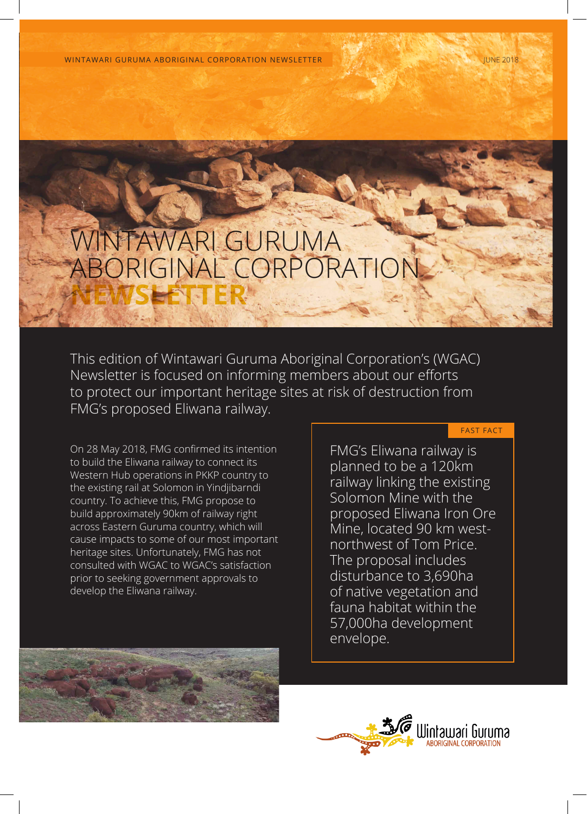WINTAWARI GURUMA ABORIGINAL CORPORATION NEWSLETTER JUNE 2018

# WINTAWARI GURUMA ABORIGINAL CORPORATION **NEWSLETTER**

This edition of Wintawari Guruma Aboriginal Corporation's (WGAC) Newsletter is focused on informing members about our efforts to protect our important heritage sites at risk of destruction from FMG's proposed Eliwana railway.

On 28 May 2018, FMG confirmed its intention to build the Eliwana railway to connect its Western Hub operations in PKKP country to the existing rail at Solomon in Yindjibarndi country. To achieve this, FMG propose to build approximately 90km of railway right across Eastern Guruma country, which will cause impacts to some of our most important heritage sites. Unfortunately, FMG has not consulted with WGAC to WGAC's satisfaction prior to seeking government approvals to develop the Eliwana railway.

FMG's Eliwana railway is planned to be a 120km railway linking the existing Solomon Mine with the proposed Eliwana Iron Ore Mine, located 90 km westnorthwest of Tom Price. The proposal includes disturbance to 3,690ha of native vegetation and fauna habitat within the 57,000ha development envelope.

FAST FACT



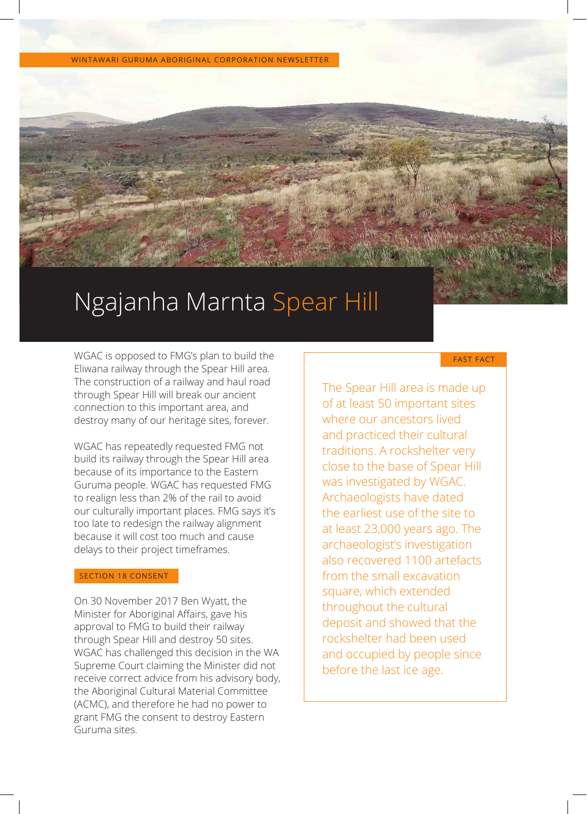WINTAWARI GURUMA ABORIGINAL CORPORATION NEWSLETTER

# Ngajanha Marnta Spear Hill

WGAC is opposed to FMG's plan to build the Eliwana railway through the Spear Hill area. The construction of a railway and haul road through Spear Hill will break our ancient connection to this important area, and destroy many of our heritage sites, forever.

WGAC has repeatedly requested FMG not build its railway through the Spear Hill area because of its importance to the Eastern Guruma people. WGAC has requested FMG to realign less than 2% of the rail to avoid our culturally important places. FMG says it's too late to redesign the railway alignment because it will cost too much and cause delays to their project timeframes.

#### SECTION 18 CONSENT

On 30 November 2017 Ben Wyatt, the Minister for Aboriginal Affairs, gave his approval to FMG to build their railway through Spear Hill and destroy 50 sites. WGAC has challenged this decision in the WA Supreme Court claiming the Minister did not receive correct advice from his advisory body, the Aboriginal Cultural Material Committee (ACMC), and therefore he had no power to grant FMG the consent to destroy Eastern Guruma sites.

# FAST FACT

The Spear Hill area is made up of at least 50 important sites where our ancestors lived and practiced their cultural traditions. A rockshelter very close to the base of Spear Hill was investigated by WGAC. Archaeologists have dated the earliest use of the site to at least 23,000 years ago. The archaeologist's investigation also recovered 1100 artefacts from the small excavation square, which extended throughout the cultural deposit and showed that the rockshelter had been used and occupied by people since before the last ice age.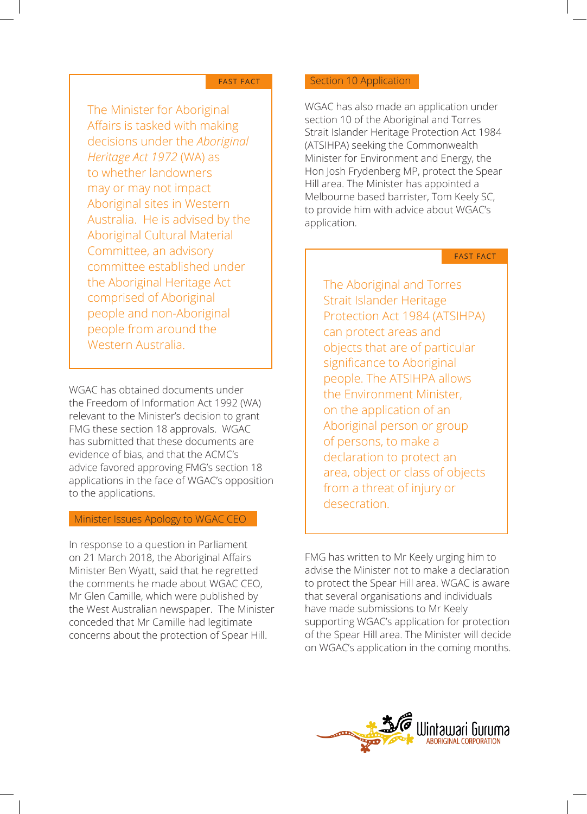#### FAST FACT

The Minister for Aboriginal Affairs is tasked with making decisions under the *Aboriginal Heritage Act 1972* (WA) as to whether landowners may or may not impact Aboriginal sites in Western Australia. He is advised by the Aboriginal Cultural Material Committee, an advisory committee established under the Aboriginal Heritage Act comprised of Aboriginal people and non-Aboriginal people from around the Western Australia.

WGAC has obtained documents under the Freedom of Information Act 1992 (WA) relevant to the Minister's decision to grant FMG these section 18 approvals. WGAC has submitted that these documents are evidence of bias, and that the ACMC's advice favored approving FMG's section 18 applications in the face of WGAC's opposition to the applications.

# Minister Issues Apology to WGAC CEO

In response to a question in Parliament on 21 March 2018, the Aboriginal Affairs Minister Ben Wyatt, said that he regretted the comments he made about WGAC CEO, Mr Glen Camille, which were published by the West Australian newspaper. The Minister conceded that Mr Camille had legitimate concerns about the protection of Spear Hill.

### Section 10 Application

WGAC has also made an application under section 10 of the Aboriginal and Torres Strait Islander Heritage Protection Act 1984 (ATSIHPA) seeking the Commonwealth Minister for Environment and Energy, the Hon Josh Frydenberg MP, protect the Spear Hill area. The Minister has appointed a Melbourne based barrister, Tom Keely SC, to provide him with advice about WGAC's application.

#### FAST FACT

The Aboriginal and Torres Strait Islander Heritage Protection Act 1984 (ATSIHPA) can protect areas and objects that are of particular significance to Aboriginal people. The ATSIHPA allows the Environment Minister, on the application of an Aboriginal person or group of persons, to make a declaration to protect an area, object or class of objects from a threat of injury or desecration.

FMG has written to Mr Keely urging him to advise the Minister not to make a declaration to protect the Spear Hill area. WGAC is aware that several organisations and individuals have made submissions to Mr Keely supporting WGAC's application for protection of the Spear Hill area. The Minister will decide on WGAC's application in the coming months.